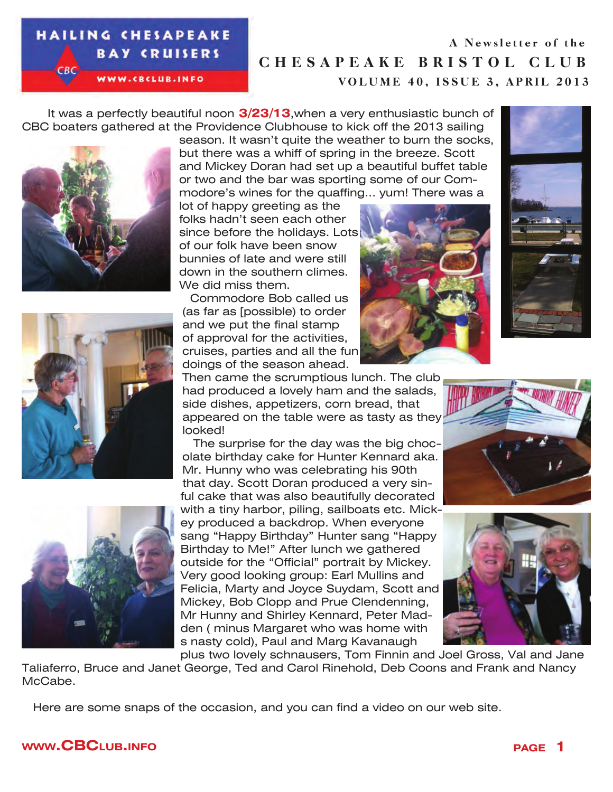#### **HAILING CHESAPEAKE BAY CRUISERS**

WWW.CBCLUB.INFO

CHESAPEAKE BRISTOL CLUB VOLUME 40, ISSUE 3, APRIL 2013 A Newsletter of the

 It was a perfectly beautiful noon **3/23/13**,when a very enthusiastic bunch of CBC boaters gathered at the Providence Clubhouse to kick off the 2013 sailing







season. It wasn't quite the weather to burn the socks, but there was a whiff of spring in the breeze. Scott and Mickey Doran had set up a beautiful buffet table or two and the bar was sporting some of our Commodore's wines for the quaffing... yum! There was a

lot of happy greeting as the folks hadn't seen each other since before the holidays. Lots of our folk have been snow bunnies of late and were still down in the southern climes. We did miss them.

Commodore Bob called us (as far as [possible) to order and we put the final stamp of approval for the activities, cruises, parties and all the fun doings of the season ahead.





Then came the scrumptious lunch. The club had produced a lovely ham and the salads, side dishes, appetizers, corn bread, that appeared on the table were as tasty as they looked!

The surprise for the day was the big chocolate birthday cake for Hunter Kennard aka. Mr. Hunny who was celebrating his 90th that day. Scott Doran produced a very sinful cake that was also beautifully decorated with a tiny harbor, piling, sailboats etc. Mickey produced a backdrop. When everyone sang "Happy Birthday" Hunter sang "Happy Birthday to Me!" After lunch we gathered outside for the "Official" portrait by Mickey. Very good looking group: Earl Mullins and Felicia, Marty and Joyce Suydam, Scott and Mickey, Bob Clopp and Prue Clendenning, Mr Hunny and Shirley Kennard, Peter Madden ( minus Margaret who was home with s nasty cold), Paul and Marg Kavanaugh





plus two lovely schnausers, Tom Finnin and Joel Gross, Val and Jane Taliaferro, Bruce and Janet George, Ted and Carol Rinehold, Deb Coons and Frank and Nancy McCabe.

Here are some snaps of the occasion, and you can find a video on our web site.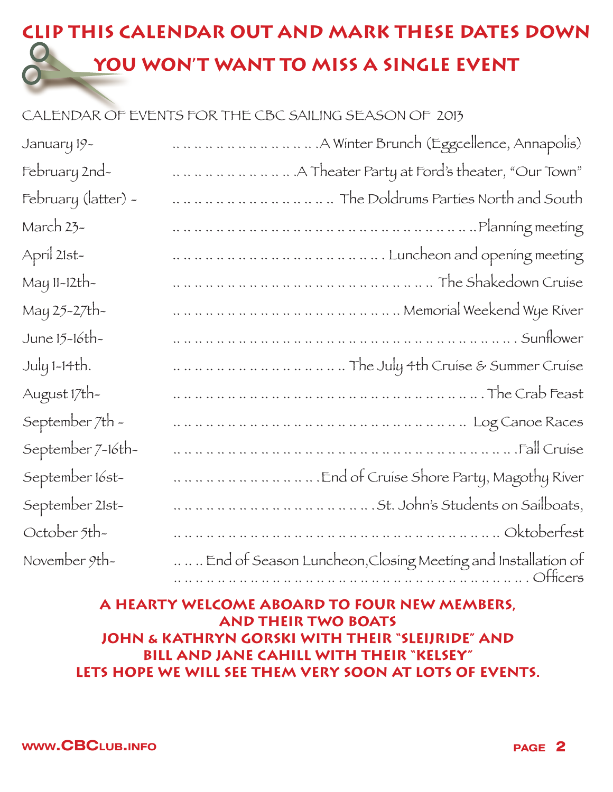## **CLIP THIS CALENDAR OUT AND MARK THESE DATES DOWN**   $\bigcirc$ **YOU WON'T WANT TO MISS A SINGLE EVENT**

### CALENDAR OF EVENTS FOR THE CBC SAILING SEASON OF 2013

| January 19-         |                                      |
|---------------------|--------------------------------------|
| February 2nd-       |                                      |
| February (latter) - | The Doldrums Parties North and South |
| March 23-           |                                      |
| April 21st-         |                                      |
| May 11-12th-        | The Shakedown Cruise                 |
| May 25-27th-        |                                      |
| June 15-16th-       |                                      |
| July 1-14th.        | The July 4th Cruise & Summer Cruise  |
| August 17th-        |                                      |
| September 7th -     |                                      |
| September 7-16th-   |                                      |
| September 16st-     |                                      |
| September 21st-     |                                      |
| October 5th-        |                                      |
| November 9th-       |                                      |

### **A HEARTY WELCOME ABOARD TO FOUR NEW MEMBERS, AND THEIR TWO BOATS JOHN & KATHRYN GORSKI WITH THEIR "SLEIJRIDE" AND BILL AND JANE CAHILL WITH THEIR "KELSEY" LETS HOPE WE WILL SEE THEM VERY SOON AT LOTS OF EVENTS.**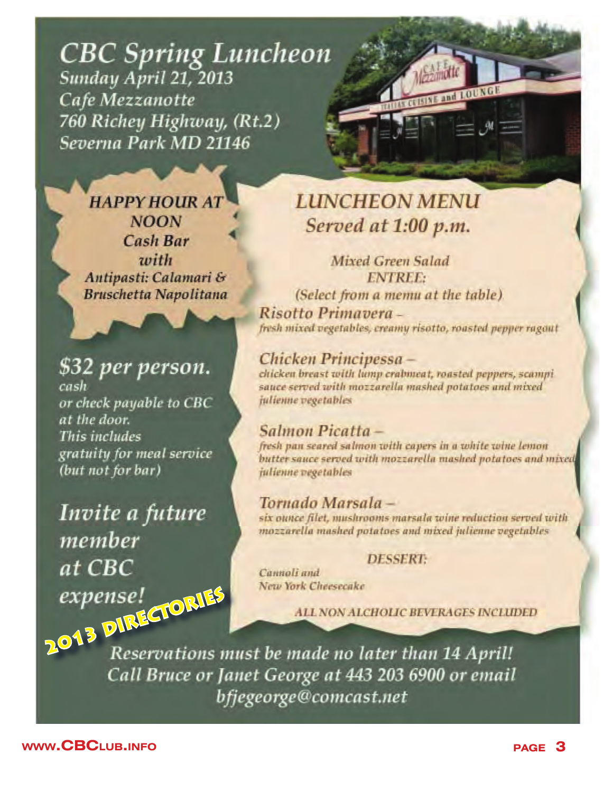## **CBC Spring Luncheon** Sunday April 21, 2013 Cafe Mezzanotte 760 Richey Highway, (Rt.2) Severna Park MD 21146

**HAPPY HOUR AT NOON Cash Bar** zvith Antipasti: Calamari & **Bruschetta Napolitana** 

\$32 per person. cash or check payable to CBC at the door. This includes gratuity for meal service (but not for bar)

Invite a future member at CBC 2013 DIRECTORIES

# **LUNCHEON MENU** Served at 1:00 p.m.

and LOUNGE

Mixed Green Salad **ENTREE:** (Select from a memu at the table). Risotto Primaverafresh mixed vegetables, creamy risotto, rousted pepper ragaut

Chicken Principessa chicken breast with lump crabmeat, roasted peppers, scampi sauce served with mozzarella mashed potatoes and mixed julienne vegetables

### Salmon Picatta-

fresh pan seared salmon with capers in a white wine lemon butter sauce served with mozzarella mashed potatoes and mixed julienne vegetables

### Tornado Marsala -

six ounce filet, mushrooms marsala wine reduction served with mozzarella mashed potatoes and mixed julienne vegetables

#### **DESSERT:**

Cannoli and New York Cheesecake

**ALL NON ALCHOLIC BEVERAGES INCLUDED** 

Reservations must be made no later than 14 April! Call Bruce or Janet George at 443 203 6900 or email bfjegeorge@comcast.net